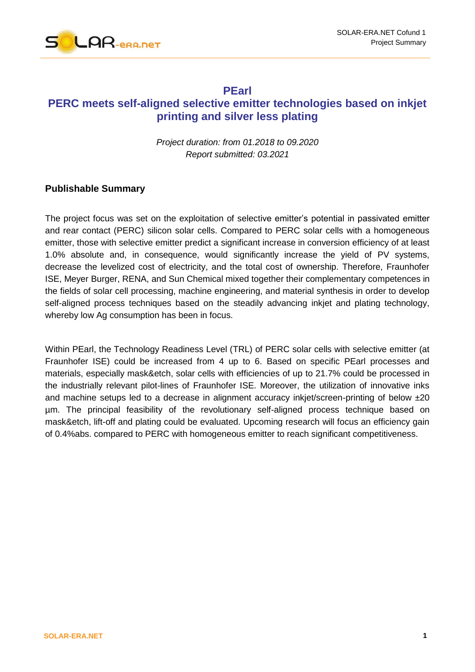

### **PEarl**

# **PERC meets self-aligned selective emitter technologies based on inkjet printing and silver less plating**

*Project duration: from 01.2018 to 09.2020 Report submitted: 03.2021*

### **Publishable Summary**

The project focus was set on the exploitation of selective emitter's potential in passivated emitter and rear contact (PERC) silicon solar cells. Compared to PERC solar cells with a homogeneous emitter, those with selective emitter predict a significant increase in conversion efficiency of at least 1.0% absolute and, in consequence, would significantly increase the yield of PV systems, decrease the levelized cost of electricity, and the total cost of ownership. Therefore, Fraunhofer ISE, Meyer Burger, RENA, and Sun Chemical mixed together their complementary competences in the fields of solar cell processing, machine engineering, and material synthesis in order to develop self-aligned process techniques based on the steadily advancing inkjet and plating technology, whereby low Ag consumption has been in focus.

Within PEarl, the Technology Readiness Level (TRL) of PERC solar cells with selective emitter (at Fraunhofer ISE) could be increased from 4 up to 6. Based on specific PEarl processes and materials, especially mask&etch, solar cells with efficiencies of up to 21.7% could be processed in the industrially relevant pilot-lines of Fraunhofer ISE. Moreover, the utilization of innovative inks and machine setups led to a decrease in alignment accuracy inkjet/screen-printing of below  $\pm 20$ µm. The principal feasibility of the revolutionary self-aligned process technique based on mask&etch, lift-off and plating could be evaluated. Upcoming research will focus an efficiency gain of 0.4%abs. compared to PERC with homogeneous emitter to reach significant competitiveness.